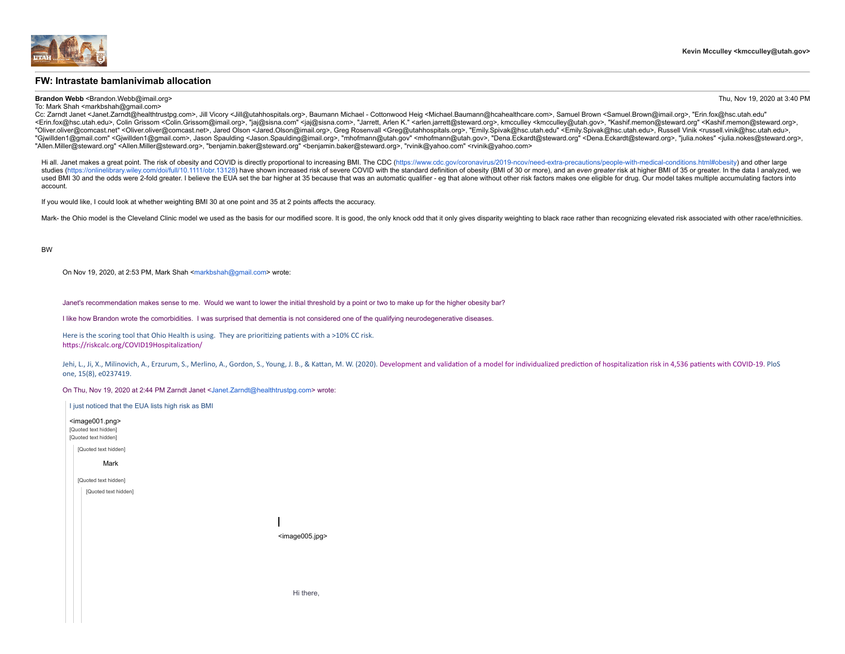

### **FW: Intrastate bamlanivimab allocation**

### **Brandon Webb** <Brandon.Webb@imail.org> Thu, Nov 19, 2020 at 3:40 PM

To: Mark Shah <markbshah@gmail.com> Cc: Zarndt Janet <Janet.Zarndt@healthtrustpg.com>, Jill Vicory <Jill@utahhospitals.org>, Baumann Michael - Cottonwood Heig <Michael.Baumann@hcahealthcare.com>, Samuel Brown <Samuel.Brown@imail.org>, "Erin.fox@hsc.utah.edu" <Erin.fox@hsc.utah.edu>, Colin Grissom <Colin.Grissom@imail.org>, "jai@sisna.com" <iai@sisna.com", "Jaimett, Arlen K." <arien.jarrett@steward.org>, kmcculley <kmcculley@utah.gov>, "kashif.memon@steward.org" <Kashif.memon@s "Oliver.oliver@comcast.net" <Oliver.oliver@comcast.net>, Jared Olson <Jared.Olson@imail.org>, Greg Rosenvall <Greg@utahhospitals.org>, "Emily.Spivak@hsc.utah.edu" <Emily.Spivak@hsc.utah.edu>, Russell Vinik <russell.vinik@h "Giwillden1@gmail.com" <Giwillden1@gmail.com>, Jason Spaulding <Jason.Spaulding@imail.org>, "mhofmann@utah.gov" <mhofmann@utah.gov>, "Dena.Eckardt@steward.org" <Dena.Eckardt@steward.org>, "cha.Eckardt@steward.org>, "pula.n "Allen.Miller@steward.org" <Allen.Miller@steward.org>, "benjamin.baker@steward.org" <benjamin.baker@steward.org>, "rvinik@yahoo.com" <rvinik@yahoo.com>

Hi all. Janet makes a great point. The risk of obesity and COVID is directly proportional to increasing BMI. The CDC (https://www.cdc.gov/coronavirus/2019-ncov/need-extra-precautions/people-with-medical-conditions.html#obe studies (https://online/library wiley com/doi/full/10 1111/obr 13128) have shown increased risk of severe COVID with the standard definition of obesity (BMI of 30 or more), and an even greater risk at higher BMI of 35 or g used BMI 30 and the odds were 2-fold greater. I believe the EUA set the bar higher at 35 because that was an automatic qualifier - eg that alone without other risk factors makes one eligible for drug. Our model takes multi account.

If you would like, I could look at whether weighting BMI 30 at one point and 35 at 2 points affects the accuracy.

Mark- the Ohio model is the Cleveland Clinic model we used as the basis for our modified score. It is good, the only knock odd that it only gives disparity weighting to black race rather than recognizing elevated risk asso

#### BW

On Nov 19, 2020, at 2:53 PM, Mark Shah [<markbshah@gmail.com](mailto:markbshah@gmail.com)> wrote:

Janet's recommendation makes sense to me. Would we want to lower the initial threshold by a point or two to make up for the higher obesity bar?

I like how Brandon wrote the comorbidities. I was surprised that dementia is not considered one of the qualifying neurodegenerative diseases.

Here is the scoring tool that Ohio Health is using. They are prioritizing patients with a >10% CC risk. [https://riskcalc.org/COVID19Hospitalization/](https://urldefense.proofpoint.com/v2/url?u=https-3A__riskcalc.org_COVID19Hospitalization_&d=DwMFaQ&c=II16XUCNF0uj2WHDMBdftpHZzyfqZU4E6o4J8m7Yfh-XF5deecOtjPXuMFvj1uWy&r=2rVKiwhVW5GYzy_qr7FNYCaR_QJMbVy0Ics2XsA5qMs&m=AOuq-_Rrg-Sl0qS0SaRynX4U6biIN8iBEMhrNg_6ndM&s=CJsPX9nEz5NryhONssrfUXR2nXQsNIeNHxvQX2jii3o&e=)

Jehi, L., Ji, X., Milinovich, A., Erzurum, S., Merlino, A., Gordon, S., Young, J. B., & Kattan, M. W. (2020). Development and validation of a model for individualized prediction [of hospitalization](https://urldefense.proofpoint.com/v2/url?u=https-3A__doi.org_10.1371_journal.pone.0237419&d=DwMFaQ&c=II16XUCNF0uj2WHDMBdftpHZzyfqZU4E6o4J8m7Yfh-XF5deecOtjPXuMFvj1uWy&r=2rVKiwhVW5GYzy_qr7FNYCaR_QJMbVy0Ics2XsA5qMs&m=AOuq-_Rrg-Sl0qS0SaRynX4U6biIN8iBEMhrNg_6ndM&s=SxOCVpEWLvWshG9Vetq84e0mOn9Bmj-gMtifMcpqYx4&e=) risk in 4,536 patients wi one, 15(8), e0237419.

On Thu, Nov 19, 2020 at 2:44 PM Zarndt Janet [<Janet.Zarndt@healthtrustpg.com](mailto:Janet.Zarndt@healthtrustpg.com)> wrote:

| I just noticed that the EUA lists high risk as BMI                              |                               |
|---------------------------------------------------------------------------------|-------------------------------|
| <image001.png><br/>[Quoted text hidden]<br/>[Quoted text hidden]</image001.png> |                               |
| [Quoted text hidden]                                                            |                               |
| Mark                                                                            |                               |
| [Quoted text hidden]                                                            |                               |
| [Quoted text hidden]                                                            |                               |
|                                                                                 |                               |
|                                                                                 |                               |
|                                                                                 | <image005.jpg></image005.jpg> |
|                                                                                 |                               |
|                                                                                 |                               |
|                                                                                 |                               |
|                                                                                 |                               |
|                                                                                 | Hi there,                     |
|                                                                                 |                               |
|                                                                                 |                               |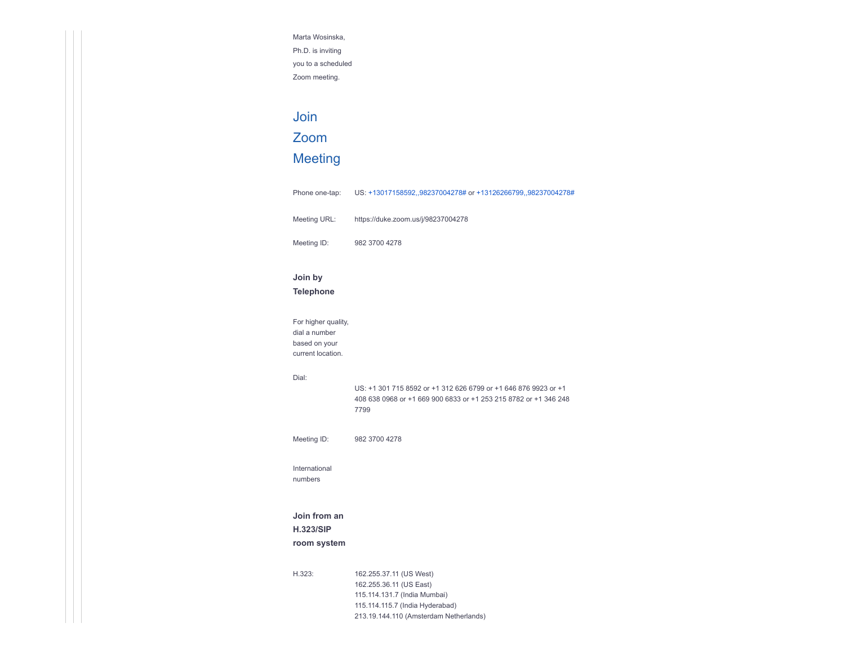Marta Wosinska, Ph.D. is inviting you to a scheduled Zoom meeting.

# Join

### Zoom

# [Meeting](https://urldefense.proofpoint.com/v2/url?u=https-3A__duke.zoom.us_j_98237004278&d=DwMFaQ&c=II16XUCNF0uj2WHDMBdftpHZzyfqZU4E6o4J8m7Yfh-XF5deecOtjPXuMFvj1uWy&r=2rVKiwhVW5GYzy_qr7FNYCaR_QJMbVy0Ics2XsA5qMs&m=lwZvMOYvxb1LEzp1nu67CRQ3OlSC3AB7S97AJ_wO1gQ&s=A1SkhLOASDnR5i5rrDYY9U01v0PR08iyXyu2NMf7xzs&e=)

Phone one-tap: US: [+13017158592,,98237004278#](tel:+13017158592,,98237004278) or [+13126266799,,98237004278#](tel:+13126266799,,98237004278) Meeting URL: [https://duke.zoom.us/j/98237004278](https://urldefense.proofpoint.com/v2/url?u=https-3A__duke.zoom.us_j_98237004278&d=DwMFaQ&c=II16XUCNF0uj2WHDMBdftpHZzyfqZU4E6o4J8m7Yfh-XF5deecOtjPXuMFvj1uWy&r=2rVKiwhVW5GYzy_qr7FNYCaR_QJMbVy0Ics2XsA5qMs&m=lwZvMOYvxb1LEzp1nu67CRQ3OlSC3AB7S97AJ_wO1gQ&s=A1SkhLOASDnR5i5rrDYY9U01v0PR08iyXyu2NMf7xzs&e=) Meeting ID: 982 3700 4278

### **Join by**

Dial:

**Telephone**

For higher quality, dial a number based on your current location. US: +1 301 715 8592 or +1 312 626 6799 or +1 646 876 9923 or +1 408 638 0968 or +1 669 900 6833 or +1 253 215 8782 or +1 346 248 7799 Meeting ID: 982 3700 4278

[International](https://urldefense.proofpoint.com/v2/url?u=https-3A__duke.zoom.us_u_aeovWbem8x&d=DwMFaQ&c=II16XUCNF0uj2WHDMBdftpHZzyfqZU4E6o4J8m7Yfh-XF5deecOtjPXuMFvj1uWy&r=2rVKiwhVW5GYzy_qr7FNYCaR_QJMbVy0Ics2XsA5qMs&m=lwZvMOYvxb1LEzp1nu67CRQ3OlSC3AB7S97AJ_wO1gQ&s=QKTFvdiPa1OKvth4flKcdaW23941DVKZBr6uRUzej9k&e=) numbers

## **Join from an**

# **H.323/SIP**

### **room system**

H.323: 162.255.37.11 (US West) 162.255.36.11 (US East) 115.114.131.7 (India Mumbai) 115.114.115.7 (India Hyderabad) 213.19.144.110 (Amsterdam Netherlands)